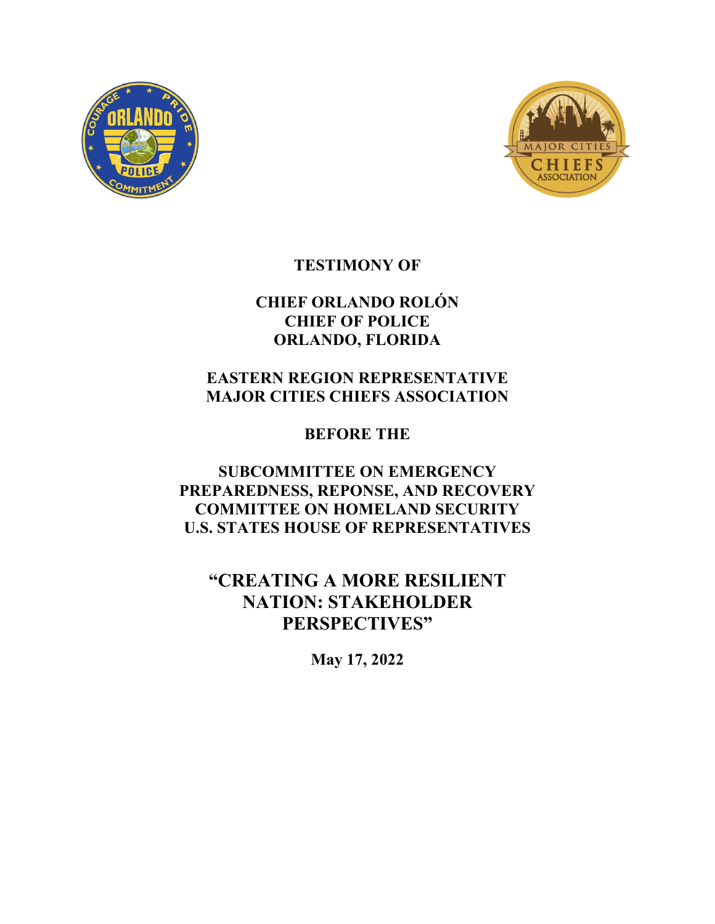



# **TESTIMONY OF**

# **CHIEF ORLANDO ROLÓN CHIEF OF POLICE ORLANDO, FLORIDA**

# **EASTERN REGION REPRESENTATIVE MAJOR CITIES CHIEFS ASSOCIATION**

**BEFORE THE**

**SUBCOMMITTEE ON EMERGENCY PREPAREDNESS, REPONSE, AND RECOVERY COMMITTEE ON HOMELAND SECURITY U.S. STATES HOUSE OF REPRESENTATIVES**

**"CREATING A MORE RESILIENT NATION: STAKEHOLDER PERSPECTIVES"**

**May 17, 2022**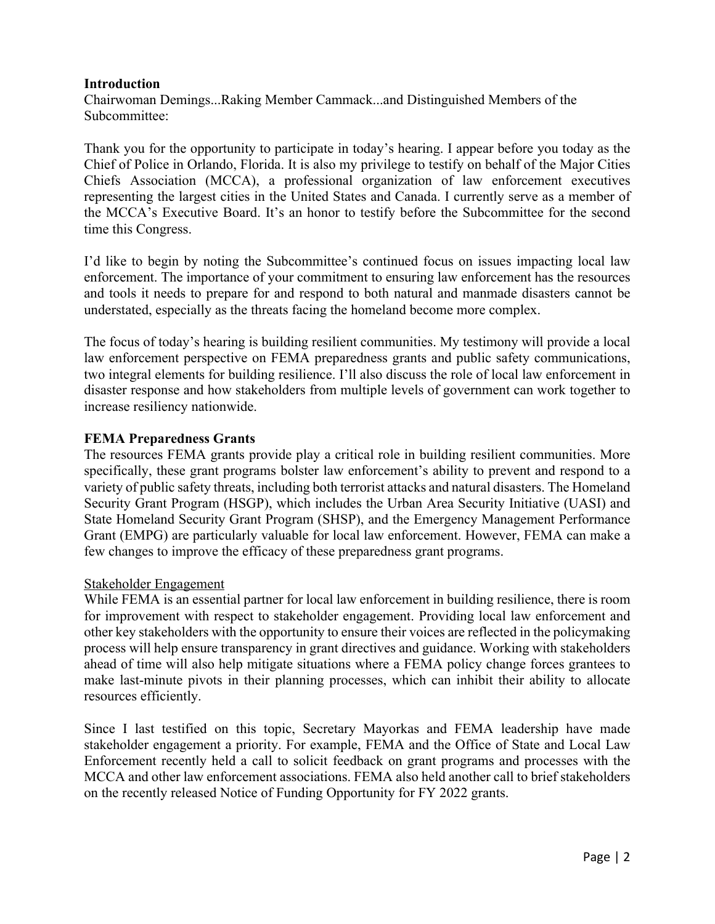## **Introduction**

Chairwoman Demings...Raking Member Cammack...and Distinguished Members of the Subcommittee:

Thank you for the opportunity to participate in today's hearing. I appear before you today as the Chief of Police in Orlando, Florida. It is also my privilege to testify on behalf of the Major Cities Chiefs Association (MCCA), a professional organization of law enforcement executives representing the largest cities in the United States and Canada. I currently serve as a member of the MCCA's Executive Board. It's an honor to testify before the Subcommittee for the second time this Congress.

I'd like to begin by noting the Subcommittee's continued focus on issues impacting local law enforcement. The importance of your commitment to ensuring law enforcement has the resources and tools it needs to prepare for and respond to both natural and manmade disasters cannot be understated, especially as the threats facing the homeland become more complex.

The focus of today's hearing is building resilient communities. My testimony will provide a local law enforcement perspective on FEMA preparedness grants and public safety communications, two integral elements for building resilience. I'll also discuss the role of local law enforcement in disaster response and how stakeholders from multiple levels of government can work together to increase resiliency nationwide.

## **FEMA Preparedness Grants**

The resources FEMA grants provide play a critical role in building resilient communities. More specifically, these grant programs bolster law enforcement's ability to prevent and respond to a variety of public safety threats, including both terrorist attacks and natural disasters. The Homeland Security Grant Program (HSGP), which includes the Urban Area Security Initiative (UASI) and State Homeland Security Grant Program (SHSP), and the Emergency Management Performance Grant (EMPG) are particularly valuable for local law enforcement. However, FEMA can make a few changes to improve the efficacy of these preparedness grant programs.

### Stakeholder Engagement

While FEMA is an essential partner for local law enforcement in building resilience, there is room for improvement with respect to stakeholder engagement. Providing local law enforcement and other key stakeholders with the opportunity to ensure their voices are reflected in the policymaking process will help ensure transparency in grant directives and guidance. Working with stakeholders ahead of time will also help mitigate situations where a FEMA policy change forces grantees to make last-minute pivots in their planning processes, which can inhibit their ability to allocate resources efficiently.

Since I last testified on this topic, Secretary Mayorkas and FEMA leadership have made stakeholder engagement a priority. For example, FEMA and the Office of State and Local Law Enforcement recently held a call to solicit feedback on grant programs and processes with the MCCA and other law enforcement associations. FEMA also held another call to brief stakeholders on the recently released Notice of Funding Opportunity for FY 2022 grants.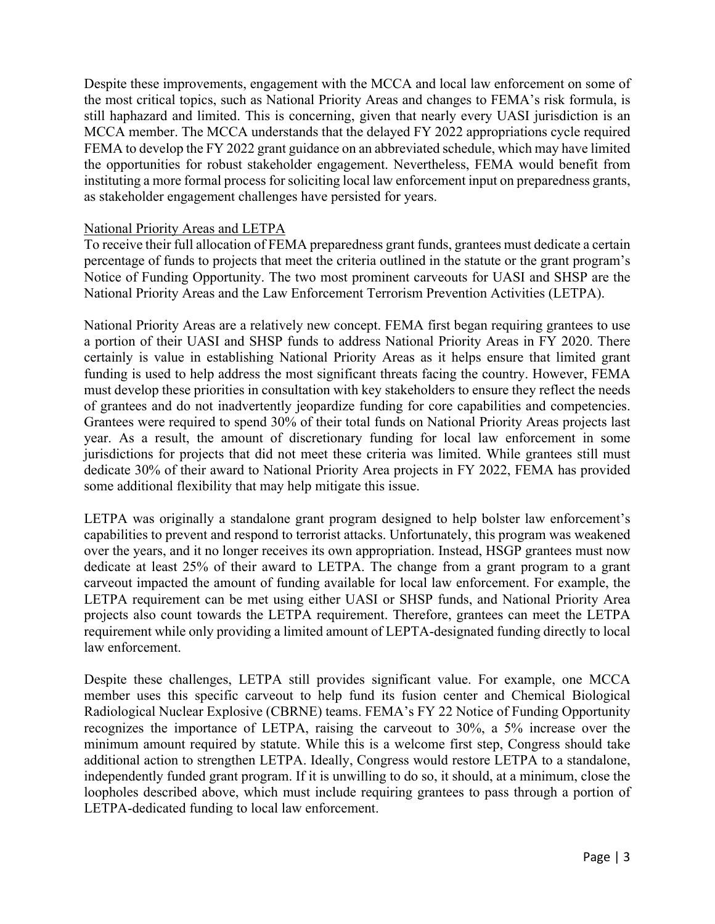Despite these improvements, engagement with the MCCA and local law enforcement on some of the most critical topics, such as National Priority Areas and changes to FEMA's risk formula, is still haphazard and limited. This is concerning, given that nearly every UASI jurisdiction is an MCCA member. The MCCA understands that the delayed FY 2022 appropriations cycle required FEMA to develop the FY 2022 grant guidance on an abbreviated schedule, which may have limited the opportunities for robust stakeholder engagement. Nevertheless, FEMA would benefit from instituting a more formal process for soliciting local law enforcement input on preparedness grants, as stakeholder engagement challenges have persisted for years.

### National Priority Areas and LETPA

To receive their full allocation of FEMA preparedness grant funds, grantees must dedicate a certain percentage of funds to projects that meet the criteria outlined in the statute or the grant program's Notice of Funding Opportunity. The two most prominent carveouts for UASI and SHSP are the National Priority Areas and the Law Enforcement Terrorism Prevention Activities (LETPA).

National Priority Areas are a relatively new concept. FEMA first began requiring grantees to use a portion of their UASI and SHSP funds to address National Priority Areas in FY 2020. There certainly is value in establishing National Priority Areas as it helps ensure that limited grant funding is used to help address the most significant threats facing the country. However, FEMA must develop these priorities in consultation with key stakeholders to ensure they reflect the needs of grantees and do not inadvertently jeopardize funding for core capabilities and competencies. Grantees were required to spend 30% of their total funds on National Priority Areas projects last year. As a result, the amount of discretionary funding for local law enforcement in some jurisdictions for projects that did not meet these criteria was limited. While grantees still must dedicate 30% of their award to National Priority Area projects in FY 2022, FEMA has provided some additional flexibility that may help mitigate this issue.

LETPA was originally a standalone grant program designed to help bolster law enforcement's capabilities to prevent and respond to terrorist attacks. Unfortunately, this program was weakened over the years, and it no longer receives its own appropriation. Instead, HSGP grantees must now dedicate at least 25% of their award to LETPA. The change from a grant program to a grant carveout impacted the amount of funding available for local law enforcement. For example, the LETPA requirement can be met using either UASI or SHSP funds, and National Priority Area projects also count towards the LETPA requirement. Therefore, grantees can meet the LETPA requirement while only providing a limited amount of LEPTA-designated funding directly to local law enforcement.

Despite these challenges, LETPA still provides significant value. For example, one MCCA member uses this specific carveout to help fund its fusion center and Chemical Biological Radiological Nuclear Explosive (CBRNE) teams. FEMA's FY 22 Notice of Funding Opportunity recognizes the importance of LETPA, raising the carveout to 30%, a 5% increase over the minimum amount required by statute. While this is a welcome first step, Congress should take additional action to strengthen LETPA. Ideally, Congress would restore LETPA to a standalone, independently funded grant program. If it is unwilling to do so, it should, at a minimum, close the loopholes described above, which must include requiring grantees to pass through a portion of LETPA-dedicated funding to local law enforcement.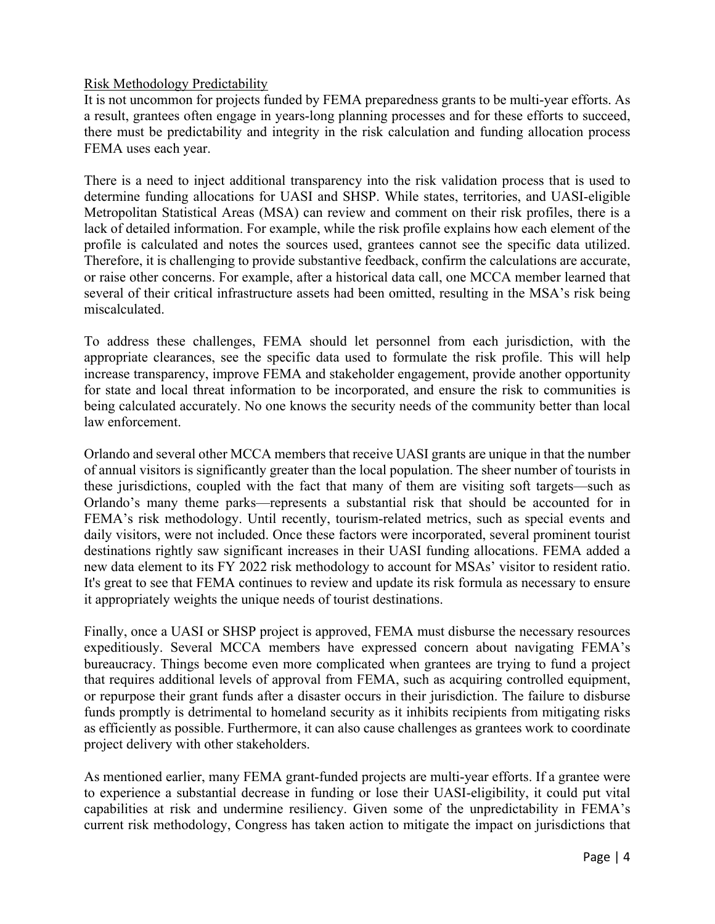## Risk Methodology Predictability

It is not uncommon for projects funded by FEMA preparedness grants to be multi-year efforts. As a result, grantees often engage in years-long planning processes and for these efforts to succeed, there must be predictability and integrity in the risk calculation and funding allocation process FEMA uses each year.

There is a need to inject additional transparency into the risk validation process that is used to determine funding allocations for UASI and SHSP. While states, territories, and UASI-eligible Metropolitan Statistical Areas (MSA) can review and comment on their risk profiles, there is a lack of detailed information. For example, while the risk profile explains how each element of the profile is calculated and notes the sources used, grantees cannot see the specific data utilized. Therefore, it is challenging to provide substantive feedback, confirm the calculations are accurate, or raise other concerns. For example, after a historical data call, one MCCA member learned that several of their critical infrastructure assets had been omitted, resulting in the MSA's risk being miscalculated.

To address these challenges, FEMA should let personnel from each jurisdiction, with the appropriate clearances, see the specific data used to formulate the risk profile. This will help increase transparency, improve FEMA and stakeholder engagement, provide another opportunity for state and local threat information to be incorporated, and ensure the risk to communities is being calculated accurately. No one knows the security needs of the community better than local law enforcement.

Orlando and several other MCCA members that receive UASI grants are unique in that the number of annual visitors is significantly greater than the local population. The sheer number of tourists in these jurisdictions, coupled with the fact that many of them are visiting soft targets—such as Orlando's many theme parks—represents a substantial risk that should be accounted for in FEMA's risk methodology. Until recently, tourism-related metrics, such as special events and daily visitors, were not included. Once these factors were incorporated, several prominent tourist destinations rightly saw significant increases in their UASI funding allocations. FEMA added a new data element to its FY 2022 risk methodology to account for MSAs' visitor to resident ratio. It's great to see that FEMA continues to review and update its risk formula as necessary to ensure it appropriately weights the unique needs of tourist destinations.

Finally, once a UASI or SHSP project is approved, FEMA must disburse the necessary resources expeditiously. Several MCCA members have expressed concern about navigating FEMA's bureaucracy. Things become even more complicated when grantees are trying to fund a project that requires additional levels of approval from FEMA, such as acquiring controlled equipment, or repurpose their grant funds after a disaster occurs in their jurisdiction. The failure to disburse funds promptly is detrimental to homeland security as it inhibits recipients from mitigating risks as efficiently as possible. Furthermore, it can also cause challenges as grantees work to coordinate project delivery with other stakeholders.

As mentioned earlier, many FEMA grant-funded projects are multi-year efforts. If a grantee were to experience a substantial decrease in funding or lose their UASI-eligibility, it could put vital capabilities at risk and undermine resiliency. Given some of the unpredictability in FEMA's current risk methodology, Congress has taken action to mitigate the impact on jurisdictions that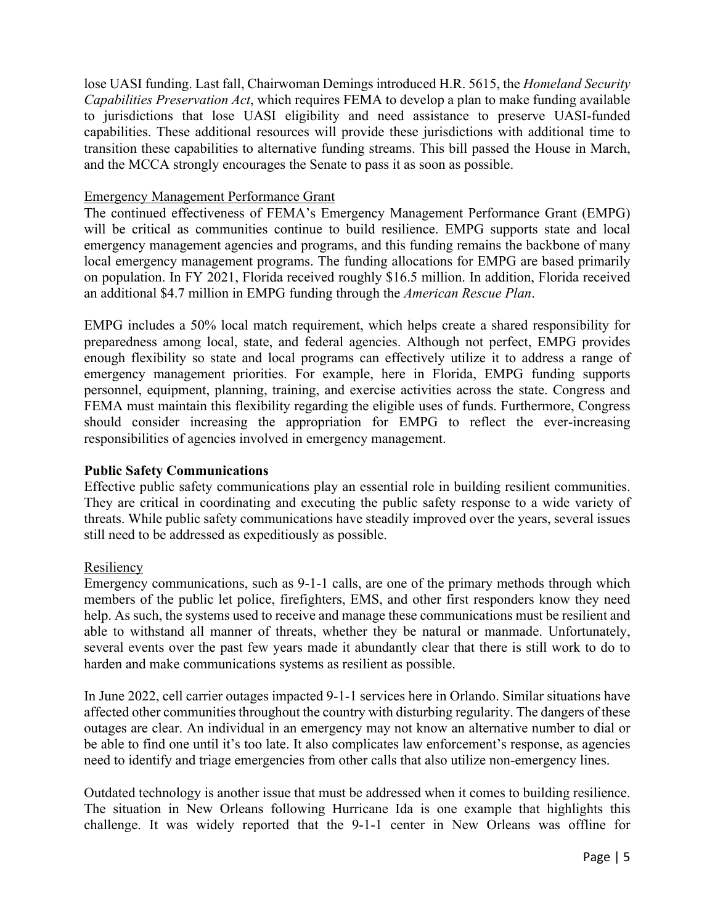lose UASI funding. Last fall, Chairwoman Demings introduced H.R. 5615, the *Homeland Security Capabilities Preservation Act*, which requires FEMA to develop a plan to make funding available to jurisdictions that lose UASI eligibility and need assistance to preserve UASI-funded capabilities. These additional resources will provide these jurisdictions with additional time to transition these capabilities to alternative funding streams. This bill passed the House in March, and the MCCA strongly encourages the Senate to pass it as soon as possible.

### Emergency Management Performance Grant

The continued effectiveness of FEMA's Emergency Management Performance Grant (EMPG) will be critical as communities continue to build resilience. EMPG supports state and local emergency management agencies and programs, and this funding remains the backbone of many local emergency management programs. The funding allocations for EMPG are based primarily on population. In FY 2021, Florida received roughly \$16.5 million. In addition, Florida received an additional \$4.7 million in EMPG funding through the *American Rescue Plan*.

EMPG includes a 50% local match requirement, which helps create a shared responsibility for preparedness among local, state, and federal agencies. Although not perfect, EMPG provides enough flexibility so state and local programs can effectively utilize it to address a range of emergency management priorities. For example, here in Florida, EMPG funding supports personnel, equipment, planning, training, and exercise activities across the state. Congress and FEMA must maintain this flexibility regarding the eligible uses of funds. Furthermore, Congress should consider increasing the appropriation for EMPG to reflect the ever-increasing responsibilities of agencies involved in emergency management.

# **Public Safety Communications**

Effective public safety communications play an essential role in building resilient communities. They are critical in coordinating and executing the public safety response to a wide variety of threats. While public safety communications have steadily improved over the years, several issues still need to be addressed as expeditiously as possible.

# Resiliency

Emergency communications, such as 9-1-1 calls, are one of the primary methods through which members of the public let police, firefighters, EMS, and other first responders know they need help. As such, the systems used to receive and manage these communications must be resilient and able to withstand all manner of threats, whether they be natural or manmade. Unfortunately, several events over the past few years made it abundantly clear that there is still work to do to harden and make communications systems as resilient as possible.

In June 2022, cell carrier outages impacted 9-1-1 services here in Orlando. Similar situations have affected other communities throughout the country with disturbing regularity. The dangers of these outages are clear. An individual in an emergency may not know an alternative number to dial or be able to find one until it's too late. It also complicates law enforcement's response, as agencies need to identify and triage emergencies from other calls that also utilize non-emergency lines.

Outdated technology is another issue that must be addressed when it comes to building resilience. The situation in New Orleans following Hurricane Ida is one example that highlights this challenge. It was widely reported that the 9-1-1 center in New Orleans was offline for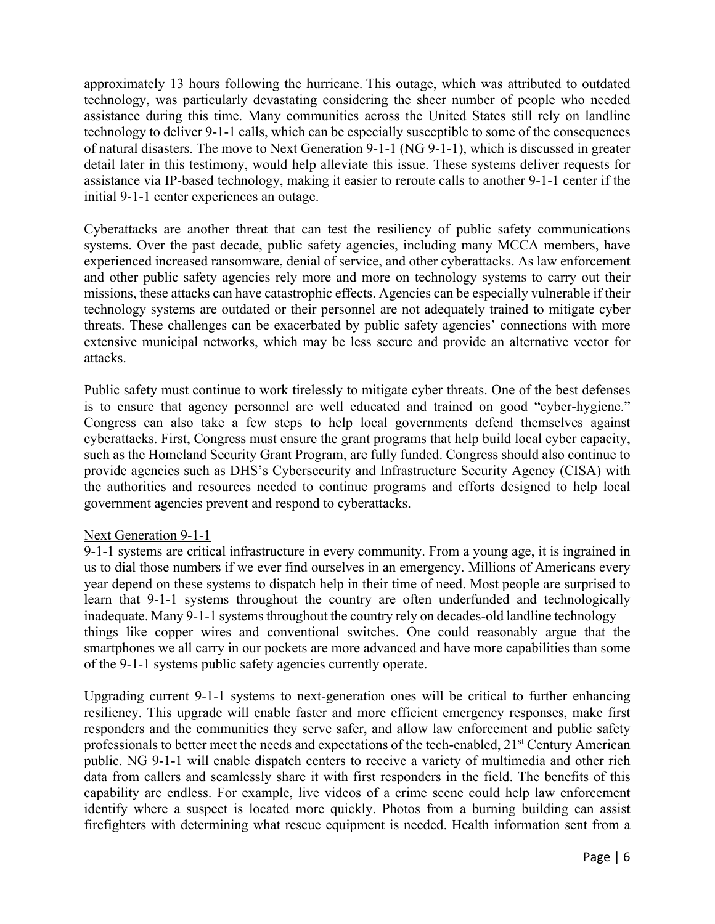approximately 13 hours following the hurricane. This outage, which was attributed to outdated technology, was particularly devastating considering the sheer number of people who needed assistance during this time. Many communities across the United States still rely on landline technology to deliver 9-1-1 calls, which can be especially susceptible to some of the consequences of natural disasters. The move to Next Generation 9-1-1 (NG 9-1-1), which is discussed in greater detail later in this testimony, would help alleviate this issue. These systems deliver requests for assistance via IP-based technology, making it easier to reroute calls to another 9-1-1 center if the initial 9-1-1 center experiences an outage.

Cyberattacks are another threat that can test the resiliency of public safety communications systems. Over the past decade, public safety agencies, including many MCCA members, have experienced increased ransomware, denial of service, and other cyberattacks. As law enforcement and other public safety agencies rely more and more on technology systems to carry out their missions, these attacks can have catastrophic effects. Agencies can be especially vulnerable if their technology systems are outdated or their personnel are not adequately trained to mitigate cyber threats. These challenges can be exacerbated by public safety agencies' connections with more extensive municipal networks, which may be less secure and provide an alternative vector for attacks.

Public safety must continue to work tirelessly to mitigate cyber threats. One of the best defenses is to ensure that agency personnel are well educated and trained on good "cyber-hygiene." Congress can also take a few steps to help local governments defend themselves against cyberattacks. First, Congress must ensure the grant programs that help build local cyber capacity, such as the Homeland Security Grant Program, are fully funded. Congress should also continue to provide agencies such as DHS's Cybersecurity and Infrastructure Security Agency (CISA) with the authorities and resources needed to continue programs and efforts designed to help local government agencies prevent and respond to cyberattacks.

### Next Generation 9-1-1

9-1-1 systems are critical infrastructure in every community. From a young age, it is ingrained in us to dial those numbers if we ever find ourselves in an emergency. Millions of Americans every year depend on these systems to dispatch help in their time of need. Most people are surprised to learn that 9-1-1 systems throughout the country are often underfunded and technologically inadequate. Many 9-1-1 systems throughout the country rely on decades-old landline technology things like copper wires and conventional switches. One could reasonably argue that the smartphones we all carry in our pockets are more advanced and have more capabilities than some of the 9-1-1 systems public safety agencies currently operate.

Upgrading current 9-1-1 systems to next-generation ones will be critical to further enhancing resiliency. This upgrade will enable faster and more efficient emergency responses, make first responders and the communities they serve safer, and allow law enforcement and public safety professionals to better meet the needs and expectations of the tech-enabled, 21st Century American public. NG 9-1-1 will enable dispatch centers to receive a variety of multimedia and other rich data from callers and seamlessly share it with first responders in the field. The benefits of this capability are endless. For example, live videos of a crime scene could help law enforcement identify where a suspect is located more quickly. Photos from a burning building can assist firefighters with determining what rescue equipment is needed. Health information sent from a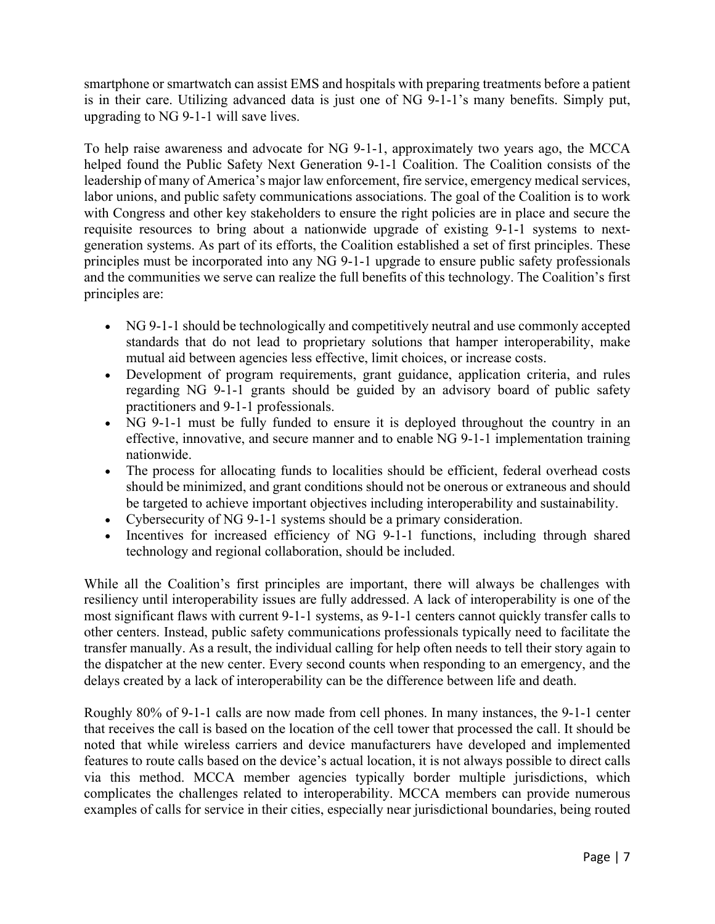smartphone or smartwatch can assist EMS and hospitals with preparing treatments before a patient is in their care. Utilizing advanced data is just one of NG 9-1-1's many benefits. Simply put, upgrading to NG 9-1-1 will save lives.

To help raise awareness and advocate for NG 9-1-1, approximately two years ago, the MCCA helped found the Public Safety Next Generation 9-1-1 Coalition. The Coalition consists of the leadership of many of America's major law enforcement, fire service, emergency medical services, labor unions, and public safety communications associations. The goal of the Coalition is to work with Congress and other key stakeholders to ensure the right policies are in place and secure the requisite resources to bring about a nationwide upgrade of existing 9-1-1 systems to nextgeneration systems. As part of its efforts, the Coalition established a set of first principles. These principles must be incorporated into any NG 9-1-1 upgrade to ensure public safety professionals and the communities we serve can realize the full benefits of this technology. The Coalition's first principles are:

- NG 9-1-1 should be technologically and competitively neutral and use commonly accepted standards that do not lead to proprietary solutions that hamper interoperability, make mutual aid between agencies less effective, limit choices, or increase costs.
- Development of program requirements, grant guidance, application criteria, and rules regarding NG 9-1-1 grants should be guided by an advisory board of public safety practitioners and 9-1-1 professionals.
- NG 9-1-1 must be fully funded to ensure it is deployed throughout the country in an effective, innovative, and secure manner and to enable NG 9-1-1 implementation training nationwide.
- The process for allocating funds to localities should be efficient, federal overhead costs should be minimized, and grant conditions should not be onerous or extraneous and should be targeted to achieve important objectives including interoperability and sustainability.
- Cybersecurity of NG 9-1-1 systems should be a primary consideration.
- Incentives for increased efficiency of NG 9-1-1 functions, including through shared technology and regional collaboration, should be included.

While all the Coalition's first principles are important, there will always be challenges with resiliency until interoperability issues are fully addressed. A lack of interoperability is one of the most significant flaws with current 9-1-1 systems, as 9-1-1 centers cannot quickly transfer calls to other centers. Instead, public safety communications professionals typically need to facilitate the transfer manually. As a result, the individual calling for help often needs to tell their story again to the dispatcher at the new center. Every second counts when responding to an emergency, and the delays created by a lack of interoperability can be the difference between life and death.

Roughly 80% of 9-1-1 calls are now made from cell phones. In many instances, the 9-1-1 center that receives the call is based on the location of the cell tower that processed the call. It should be noted that while wireless carriers and device manufacturers have developed and implemented features to route calls based on the device's actual location, it is not always possible to direct calls via this method. MCCA member agencies typically border multiple jurisdictions, which complicates the challenges related to interoperability. MCCA members can provide numerous examples of calls for service in their cities, especially near jurisdictional boundaries, being routed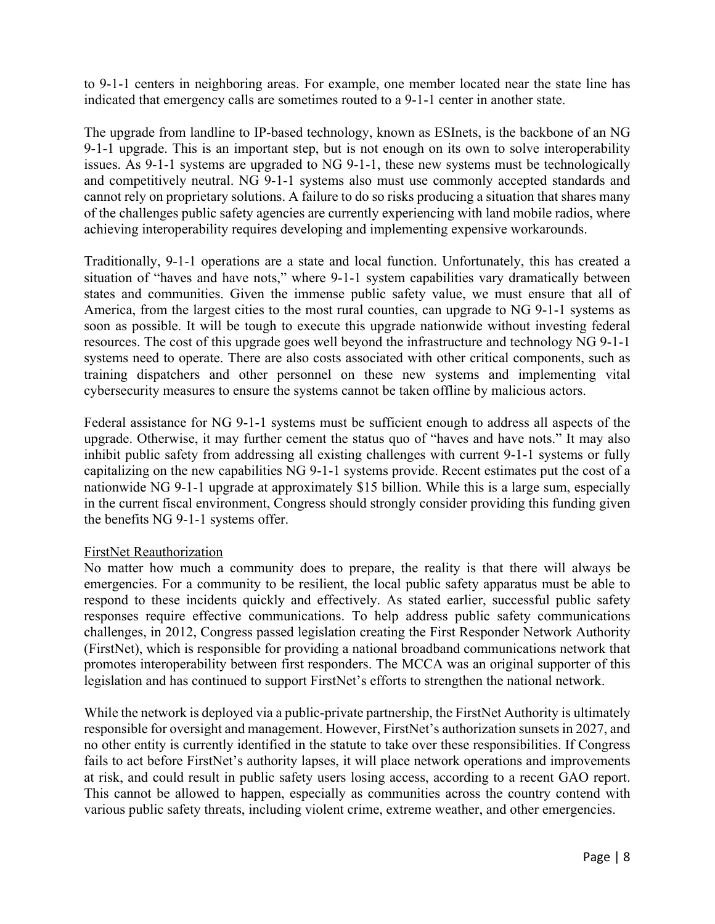to 9-1-1 centers in neighboring areas. For example, one member located near the state line has indicated that emergency calls are sometimes routed to a 9-1-1 center in another state.

The upgrade from landline to IP-based technology, known as ESInets, is the backbone of an NG 9-1-1 upgrade. This is an important step, but is not enough on its own to solve interoperability issues. As 9-1-1 systems are upgraded to NG 9-1-1, these new systems must be technologically and competitively neutral. NG 9-1-1 systems also must use commonly accepted standards and cannot rely on proprietary solutions. A failure to do so risks producing a situation that shares many of the challenges public safety agencies are currently experiencing with land mobile radios, where achieving interoperability requires developing and implementing expensive workarounds.

Traditionally, 9-1-1 operations are a state and local function. Unfortunately, this has created a situation of "haves and have nots," where 9-1-1 system capabilities vary dramatically between states and communities. Given the immense public safety value, we must ensure that all of America, from the largest cities to the most rural counties, can upgrade to NG 9-1-1 systems as soon as possible. It will be tough to execute this upgrade nationwide without investing federal resources. The cost of this upgrade goes well beyond the infrastructure and technology NG 9-1-1 systems need to operate. There are also costs associated with other critical components, such as training dispatchers and other personnel on these new systems and implementing vital cybersecurity measures to ensure the systems cannot be taken offline by malicious actors.

Federal assistance for NG 9-1-1 systems must be sufficient enough to address all aspects of the upgrade. Otherwise, it may further cement the status quo of "haves and have nots." It may also inhibit public safety from addressing all existing challenges with current 9-1-1 systems or fully capitalizing on the new capabilities NG 9-1-1 systems provide. Recent estimates put the cost of a nationwide NG 9-1-1 upgrade at approximately \$15 billion. While this is a large sum, especially in the current fiscal environment, Congress should strongly consider providing this funding given the benefits NG 9-1-1 systems offer.

# FirstNet Reauthorization

No matter how much a community does to prepare, the reality is that there will always be emergencies. For a community to be resilient, the local public safety apparatus must be able to respond to these incidents quickly and effectively. As stated earlier, successful public safety responses require effective communications. To help address public safety communications challenges, in 2012, Congress passed legislation creating the First Responder Network Authority (FirstNet), which is responsible for providing a national broadband communications network that promotes interoperability between first responders. The MCCA was an original supporter of this legislation and has continued to support FirstNet's efforts to strengthen the national network.

While the network is deployed via a public-private partnership, the FirstNet Authority is ultimately responsible for oversight and management. However, FirstNet's authorization sunsets in 2027, and no other entity is currently identified in the statute to take over these responsibilities. If Congress fails to act before FirstNet's authority lapses, it will place network operations and improvements at risk, and could result in public safety users losing access, according to a recent GAO report. This cannot be allowed to happen, especially as communities across the country contend with various public safety threats, including violent crime, extreme weather, and other emergencies.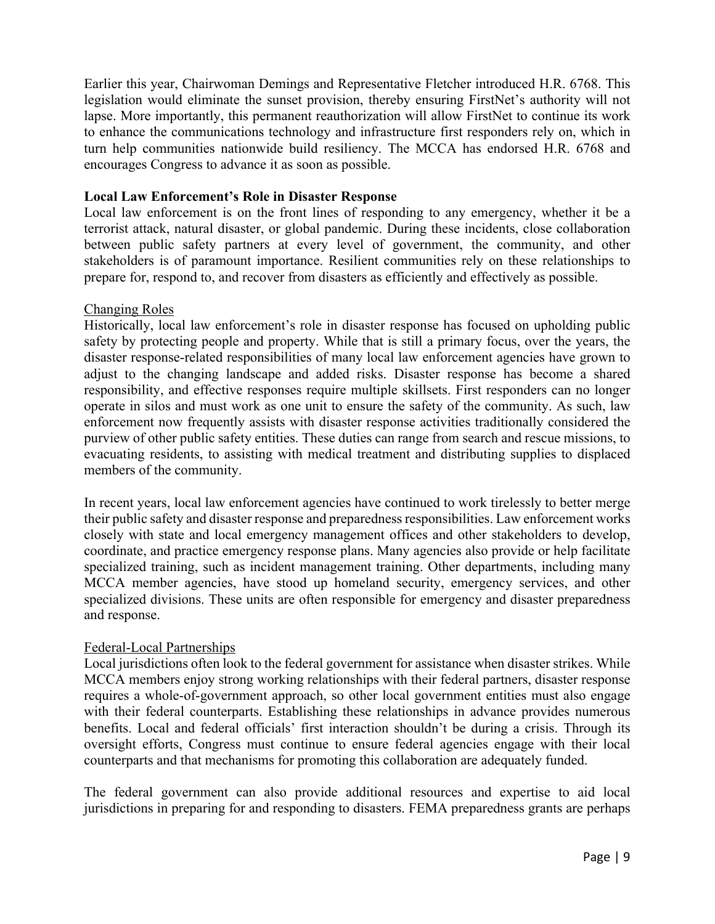Earlier this year, Chairwoman Demings and Representative Fletcher introduced H.R. 6768. This legislation would eliminate the sunset provision, thereby ensuring FirstNet's authority will not lapse. More importantly, this permanent reauthorization will allow FirstNet to continue its work to enhance the communications technology and infrastructure first responders rely on, which in turn help communities nationwide build resiliency. The MCCA has endorsed H.R. 6768 and encourages Congress to advance it as soon as possible.

## **Local Law Enforcement's Role in Disaster Response**

Local law enforcement is on the front lines of responding to any emergency, whether it be a terrorist attack, natural disaster, or global pandemic. During these incidents, close collaboration between public safety partners at every level of government, the community, and other stakeholders is of paramount importance. Resilient communities rely on these relationships to prepare for, respond to, and recover from disasters as efficiently and effectively as possible.

### Changing Roles

Historically, local law enforcement's role in disaster response has focused on upholding public safety by protecting people and property. While that is still a primary focus, over the years, the disaster response-related responsibilities of many local law enforcement agencies have grown to adjust to the changing landscape and added risks. Disaster response has become a shared responsibility, and effective responses require multiple skillsets. First responders can no longer operate in silos and must work as one unit to ensure the safety of the community. As such, law enforcement now frequently assists with disaster response activities traditionally considered the purview of other public safety entities. These duties can range from search and rescue missions, to evacuating residents, to assisting with medical treatment and distributing supplies to displaced members of the community.

In recent years, local law enforcement agencies have continued to work tirelessly to better merge their public safety and disaster response and preparedness responsibilities. Law enforcement works closely with state and local emergency management offices and other stakeholders to develop, coordinate, and practice emergency response plans. Many agencies also provide or help facilitate specialized training, such as incident management training. Other departments, including many MCCA member agencies, have stood up homeland security, emergency services, and other specialized divisions. These units are often responsible for emergency and disaster preparedness and response.

### Federal-Local Partnerships

Local jurisdictions often look to the federal government for assistance when disaster strikes. While MCCA members enjoy strong working relationships with their federal partners, disaster response requires a whole-of-government approach, so other local government entities must also engage with their federal counterparts. Establishing these relationships in advance provides numerous benefits. Local and federal officials' first interaction shouldn't be during a crisis. Through its oversight efforts, Congress must continue to ensure federal agencies engage with their local counterparts and that mechanisms for promoting this collaboration are adequately funded.

The federal government can also provide additional resources and expertise to aid local jurisdictions in preparing for and responding to disasters. FEMA preparedness grants are perhaps